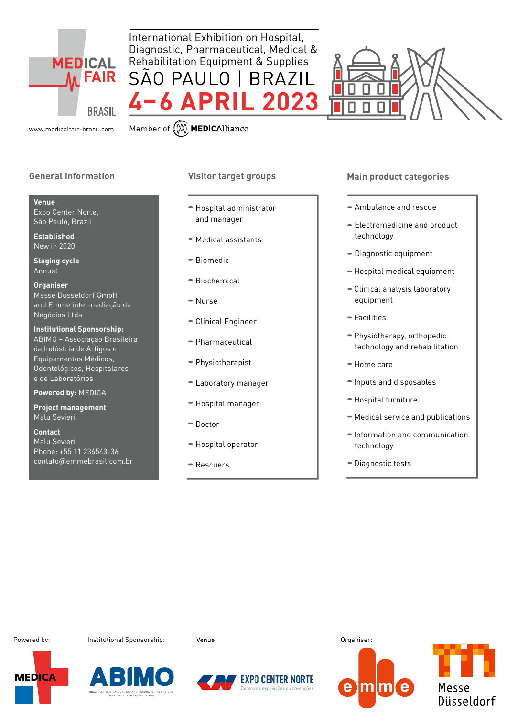

International Exhibition on Hospital, Diagnostic, Pharmaceutical, Medical & Rehabilitation Equipment & Supplies SÃO PAULO | BRAZIL **4–6 APRIL 2023**

www.medicalfair-brasil.com Member of (M) MEDICAlliance

## **General information**

#### **Venue**

Expo Center Norte, São Paulo, Brazil

**Established** New in 2020

**Staging cycle** Annual

**Organiser** Messe Düsseldorf GmbH and Emme intermediação de Negócios Ltda

**Institutional Sponsorship:**  ABIMO – Associação Brasileira da Indústria de Artigos e Equipamentos Médicos, Odontológicos, Hospitalares e de Laboratórios

**Powered by:** MEDICA

**Project management** Malu Sevieri

**Contact** Malu Sevieri Phone: +55 11 236543-36 contato@emmebrasil.com.br

## **Visitor target groups**

 Hospital administrator and manager

- Medical assistants
- Biomedic
- Biochemical
- $=$  Nurse
- Clinical Engineer
- Pharmaceutical
- Physiotherapist
- Laboratory manager
- Hospital manager
- Doctor
- Hospital operator
- Rescuers

### **Main product categories**

- Ambulance and rescue
- Electromedicine and product technology
- Diagnostic equipment
- $-$  Hospital medical equipment
- Clinical analysis laboratory equipment
- Facilities
- Physiotherapy, orthopedic technology and rehabilitation
- Home care
- $\blacksquare$  Inputs and disposables
- Hospital furniture
- Medical service and publications
- $=$  Information and communication technology
- Diagnostic tests

Powered by: The Institutional Sponsorship: Venue: The Venue: Critical Organiser:







tro de exposições e con